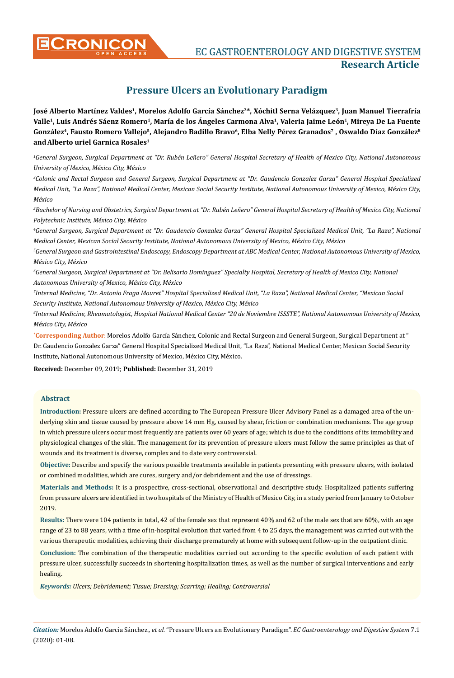

**CONICON** EC GASTROENTEROLOGY AND DIGESTIVE SYSTEM **Research Article**

# **Pressure Ulcers an Evolutionary Paradigm**

José Alberto Martínez Valdes<sup>1</sup>, Morelos Adolfo García Sánchez<sup>2\*</sup>, Xóchitl Serna Velázquez<sup>3</sup>, Juan Manuel Tierrafría Valle<sup>1</sup>, Luis Andrés Sáenz Romero<sup>1</sup>, María de los Ángeles Carmona Alva<sup>1</sup>, Valeria Jaime León<sup>1</sup>, Mireya De La Fuente González<sup>4</sup>, Fausto Romero Vallejo<sup>5</sup>, Alejandro Badillo Bravo<sup>6</sup>, Elba Nelly Pérez Granados<sup>7</sup>, Oswaldo Díaz González<sup>8</sup> **andAlberto uriel Garnica Rosales1**

*1 General Surgeon, Surgical Department at "Dr. Rubén Leñero" General Hospital Secretary of Health of Mexico City, National Autonomous University of Mexico, México City, México*

*2 Colonic and Rectal Surgeon and General Surgeon, Surgical Department at "Dr. Gaudencio Gonzalez Garza" General Hospital Specialized Medical Unit, "La Raza", National Medical Center, Mexican Social Security Institute, National Autonomous University of Mexico, México City, México*

<sup>3</sup>Bachelor of Nursing and Obstetrics, Surgical Department at "Dr. Rubén Leñero" General Hospital Secretary of Health of Mexico City, National *Polytechnic Institute, México City, México*

*4 General Surgeon, Surgical Department at "Dr. Gaudencio Gonzalez Garza" General Hospital Specialized Medical Unit, "La Raza", National Medical Center, Mexican Social Security Institute, National Autonomous University of Mexico, México City, México*

*5 General Surgeon and Gastrointestinal Endoscopy, Endoscopy Department at ABC Medical Center, National Autonomous University of Mexico, México City, México*

*6 General Surgeon, Surgical Department at "Dr. Belisario Dominguez" Specialty Hospital, Secretary of Health of Mexico City, National Autonomous University of Mexico, México City, México*

*7 Internal Medicine, "Dr. Antonio Fraga Mouret" Hospital Specialized Medical Unit, "La Raza", National Medical Center, "Mexican Social Security Institute, National Autonomous University of Mexico, México City, México*

*8 Internal Medicine, Rheumatologist, Hospital National Medical Center "20 de Noviembre ISSSTE", National Autonomous University of Mexico, México City, México*

**\* Corresponding Author**: Morelos Adolfo García Sánchez, Colonic and Rectal Surgeon and General Surgeon, Surgical Department at " Dr. Gaudencio Gonzalez Garza" General Hospital Specialized Medical Unit, "La Raza", National Medical Center, Mexican Social Security Institute, National Autonomous University of Mexico, México City, México.

**Received:** December 09, 2019; **Published:** December 31, 2019

# **Abstract**

**Introduction:** Pressure ulcers are defined according to The European Pressure Ulcer Advisory Panel as a damaged area of the underlying skin and tissue caused by pressure above 14 mm Hg, caused by shear, friction or combination mechanisms. The age group in which pressure ulcers occur most frequently are patients over 60 years of age; which is due to the conditions of its immobility and physiological changes of the skin. The management for its prevention of pressure ulcers must follow the same principles as that of wounds and its treatment is diverse, complex and to date very controversial.

**Objective:** Describe and specify the various possible treatments available in patients presenting with pressure ulcers, with isolated or combined modalities, which are cures, surgery and/or debridement and the use of dressings.

**Materials and Methods:** It is a prospective, cross-sectional, observational and descriptive study. Hospitalized patients suffering from pressure ulcers are identified in two hospitals of the Ministry of Health of Mexico City, in a study period from January to October 2019.

**Results:** There were 104 patients in total, 42 of the female sex that represent 40% and 62 of the male sex that are 60%, with an age range of 23 to 88 years, with a time of in-hospital evolution that varied from 4 to 25 days, the management was carried out with the various therapeutic modalities, achieving their discharge prematurely at home with subsequent follow-up in the outpatient clinic.

**Conclusion:** The combination of the therapeutic modalities carried out according to the specific evolution of each patient with pressure ulcer, successfully succeeds in shortening hospitalization times, as well as the number of surgical interventions and early healing.

*Keywords: Ulcers; Debridement; Tissue; Dressing; Scarring; Healing; Controversial*

*Citation:* Morelos Adolfo García Sánchez*., et al.* "Pressure Ulcers an Evolutionary Paradigm". *EC Gastroenterology and Digestive System* 7.1 (2020): 01-08.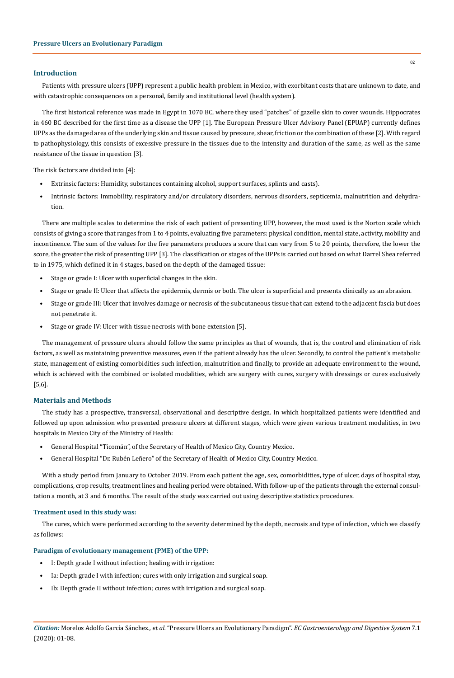# **Introduction**

Patients with pressure ulcers (UPP) represent a public health problem in Mexico, with exorbitant costs that are unknown to date, and with catastrophic consequences on a personal, family and institutional level (health system).

The first historical reference was made in Egypt in 1070 BC, where they used "patches" of gazelle skin to cover wounds. Hippocrates in 460 BC described for the first time as a disease the UPP [1]. The European Pressure Ulcer Advisory Panel (EPUAP) currently defines UPPs as the damaged area of the underlying skin and tissue caused by pressure, shear, friction or the combination of these [2]. With regard to pathophysiology, this consists of excessive pressure in the tissues due to the intensity and duration of the same, as well as the same resistance of the tissue in question [3].

The risk factors are divided into [4]:

- Extrinsic factors: Humidity, substances containing alcohol, support surfaces, splints and casts).
- Intrinsic factors: Immobility, respiratory and/or circulatory disorders, nervous disorders, septicemia, malnutrition and dehydration.

There are multiple scales to determine the risk of each patient of presenting UPP, however, the most used is the Norton scale which consists of giving a score that ranges from 1 to 4 points, evaluating five parameters: physical condition, mental state, activity, mobility and incontinence. The sum of the values for the five parameters produces a score that can vary from 5 to 20 points, therefore, the lower the score, the greater the risk of presenting UPP [3]. The classification or stages of the UPPs is carried out based on what Darrel Shea referred to in 1975, which defined it in 4 stages, based on the depth of the damaged tissue:

- Stage or grade I: Ulcer with superficial changes in the skin.
- Stage or grade II: Ulcer that affects the epidermis, dermis or both. The ulcer is superficial and presents clinically as an abrasion.
- Stage or grade III: Ulcer that involves damage or necrosis of the subcutaneous tissue that can extend to the adjacent fascia but does not penetrate it.
- Stage or grade IV: Ulcer with tissue necrosis with bone extension [5].

The management of pressure ulcers should follow the same principles as that of wounds, that is, the control and elimination of risk factors, as well as maintaining preventive measures, even if the patient already has the ulcer. Secondly, to control the patient's metabolic state, management of existing comorbidities such infection, malnutrition and finally, to provide an adequate environment to the wound, which is achieved with the combined or isolated modalities, which are surgery with cures, surgery with dressings or cures exclusively [5,6].

# **Materials and Methods**

The study has a prospective, transversal, observational and descriptive design. In which hospitalized patients were identified and followed up upon admission who presented pressure ulcers at different stages, which were given various treatment modalities, in two hospitals in Mexico City of the Ministry of Health:

- General Hospital "Ticomán", of the Secretary of Health of Mexico City, Country Mexico.
- General Hospital "Dr. Rubén Leñero" of the Secretary of Health of Mexico City, Country Mexico.

With a study period from January to October 2019. From each patient the age, sex, comorbidities, type of ulcer, days of hospital stay, complications, crop results, treatment lines and healing period were obtained. With follow-up of the patients through the external consultation a month, at 3 and 6 months. The result of the study was carried out using descriptive statistics procedures.

#### **Treatment used in this study was:**

The cures, which were performed according to the severity determined by the depth, necrosis and type of infection, which we classify as follows:

#### **Paradigm of evolutionary management (PME) of the UPP:**

- I: Depth grade I without infection; healing with irrigation:
- Ia: Depth grade I with infection; cures with only irrigation and surgical soap.
- Ib: Depth grade II without infection; cures with irrigation and surgical soap.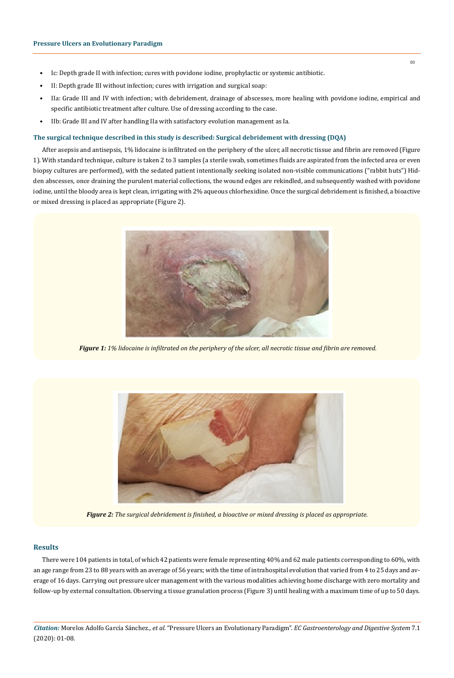- Ic: Depth grade II with infection; cures with povidone iodine, prophylactic or systemic antibiotic.
- II: Depth grade III without infection; cures with irrigation and surgical soap:
- IIa: Grade III and IV with infection; with debridement, drainage of abscesses, more healing with povidone iodine, empirical and specific antibiotic treatment after culture. Use of dressing according to the case.
- IIb: Grade III and IV after handling IIa with satisfactory evolution management as Ia.

# **The surgical technique described in this study is described: Surgical debridement with dressing (DQA)**

After asepsis and antisepsis, 1% lidocaine is infiltrated on the periphery of the ulcer, all necrotic tissue and fibrin are removed (Figure 1). With standard technique, culture is taken 2 to 3 samples (a sterile swab, sometimes fluids are aspirated from the infected area or even biopsy cultures are performed), with the sedated patient intentionally seeking isolated non-visible communications ("rabbit huts") Hidden abscesses, once draining the purulent material collections, the wound edges are rekindled, and subsequently washed with povidone iodine, until the bloody area is kept clean, irrigating with 2% aqueous chlorhexidine. Once the surgical debridement is finished, a bioactive or mixed dressing is placed as appropriate (Figure 2).



*Figure 1: 1% lidocaine is infiltrated on the periphery of the ulcer, all necrotic tissue and fibrin are removed.*



*Figure 2: The surgical debridement is finished, a bioactive or mixed dressing is placed as appropriate.*

# **Results**

There were 104 patients in total, of which 42 patients were female representing 40% and 62 male patients corresponding to 60%, with an age range from 23 to 88 years with an average of 56 years; with the time of intrahospital evolution that varied from 4 to 25 days and average of 16 days. Carrying out pressure ulcer management with the various modalities achieving home discharge with zero mortality and follow-up by external consultation. Observing a tissue granulation process (Figure 3) until healing with a maximum time of up to 50 days.

*Citation:* Morelos Adolfo García Sánchez*., et al.* "Pressure Ulcers an Evolutionary Paradigm". *EC Gastroenterology and Digestive System* 7.1 (2020): 01-08.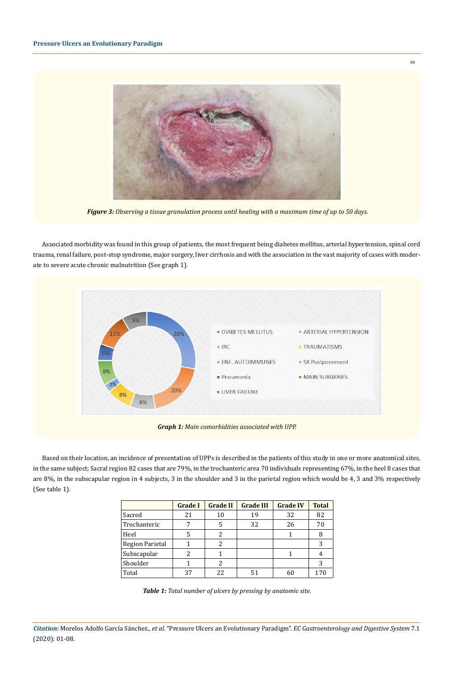

*Figure 3: Observing a tissue granulation process until healing with a maximum time of up to 50 days.*

Associated morbidity was found in this group of patients, the most frequent being diabetes mellitus, arterial hypertension, spinal cord trauma, renal failure, post-stop syndrome, major surgery, liver cirrhosis and with the association in the vast majority of cases with moderate to severe acute chronic malnutrition (See graph 1).



Based on their location, an incidence of presentation of UPPs is described in the patients of this study in one or more anatomical sites, in the same subject; Sacral region 82 cases that are 79%, in the trochanteric area 70 individuals representing 67%, in the heel 8 cases that are 8%, in the subscapular region in 4 subjects, 3 in the shoulder and 3 in the parietal region which would be 4, 3 and 3% respectively (See table 1).

|                        | <b>Grade I</b> | <b>Grade II</b> | <b>Grade III</b> | <b>Grade IV</b> | <b>Total</b> |
|------------------------|----------------|-----------------|------------------|-----------------|--------------|
| Sacred                 | 21             | 10              | 19               | 32              | 82           |
| Trochanteric           |                | 5               | 32               | 26              | 70           |
| Heel                   |                | 2               |                  |                 | 8            |
| <b>Region Parietal</b> |                | 2               |                  |                 | 3            |
| Subscapular            | 2              |                 |                  |                 | 4            |
| Shoulder               |                | 2               |                  |                 | 3            |
| Total                  | 37             | 22.             | 51               |                 | 170          |

*Table 1: Total number of ulcers by pressing by anatomic site.*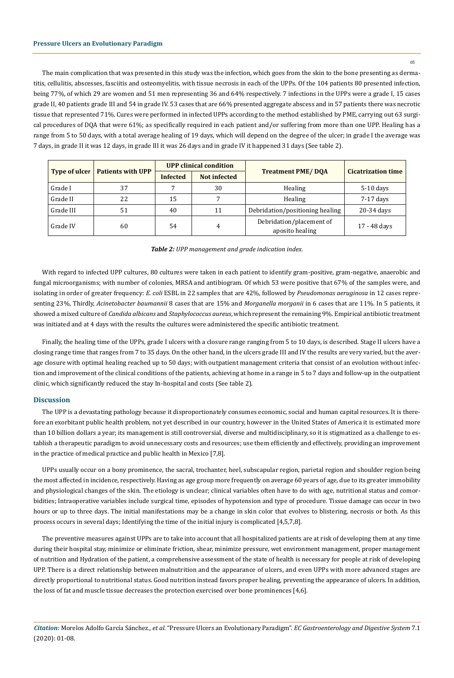### **Pressure Ulcers an Evolutionary Paradigm**

The main complication that was presented in this study was the infection, which goes from the skin to the bone presenting as dermatitis, cellulitis, abscesses, fasciitis and osteomyelitis, with tissue necrosis in each of the UPPs. Of the 104 patients 80 presented infection, being 77%, of which 29 are women and 51 men representing 36 and 64% respectively. 7 infections in the UPPs were a grade I, 15 cases grade II, 40 patients grade III and 54 in grade IV. 53 cases that are 66% presented aggregate abscess and in 57 patients there was necrotic tissue that represented 71%. Cures were performed in infected UPPs according to the method established by PME, carrying out 63 surgical procedures of DQA that were 61%; as specifically required in each patient and/or suffering from more than one UPP. Healing has a range from 5 to 50 days, with a total average healing of 19 days, which will depend on the degree of the ulcer; in grade I the average was 7 days, in grade II it was 12 days, in grade III it was 26 days and in grade IV it happened 31 days (See table 2).

|                      |                          | <b>UPP</b> clinical condition |              |                                             |                           |  |
|----------------------|--------------------------|-------------------------------|--------------|---------------------------------------------|---------------------------|--|
| <b>Type of ulcer</b> | <b>Patients with UPP</b> | <b>Infected</b>               | Not infected | <b>Treatment PME/DOA</b>                    | <b>Cicatrization time</b> |  |
| Grade I              | 37                       |                               | 30           | Healing                                     | $5-10$ days               |  |
| Grade II             | 22                       | 15                            |              | Healing                                     | 7-17 days                 |  |
| Grade III            | 51                       | 40                            | 11           | Debridation/positioning healing             | 20-34 days                |  |
| Grade IV             | 60                       | 54                            | 4            | Debridation/placement of<br>aposito healing | 17 - 48 days              |  |

#### *Table 2: UPP management and grade indication index.*

With regard to infected UPP cultures, 80 cultures were taken in each patient to identify gram-positive, gram-negative, anaerobic and fungal microorganisms; with number of colonies, MRSA and antibiogram. Of which 53 were positive that 67% of the samples were, and isolating in order of greater frequency: *E. coli* ESBL in 22 samples that are 42%, followed by *Pseudomonas aeruginosa* in 12 cases representing 23%, Thirdly, *Acinetobacter baumannii* 8 cases that are 15% and *Morganella morganii* in 6 cases that are 11%. In 5 patients, it showed a mixed culture of *Candida albicans* and *Staphylococcus aureus*, which represent the remaining 9%. Empirical antibiotic treatment was initiated and at 4 days with the results the cultures were administered the specific antibiotic treatment.

Finally, the healing time of the UPPs, grade I ulcers with a closure range ranging from 5 to 10 days, is described. Stage II ulcers have a closing range time that ranges from 7 to 35 days. On the other hand, in the ulcers grade III and IV the results are very varied, but the average closure with optimal healing reached up to 50 days; with outpatient management criteria that consist of an evolution without infection and improvement of the clinical conditions of the patients, achieving at home in a range in 5 to 7 days and follow-up in the outpatient clinic, which significantly reduced the stay In-hospital and costs (See table 2).

# **Discussion**

The UPP is a devastating pathology because it disproportionately consumes economic, social and human capital resources. It is therefore an exorbitant public health problem, not yet described in our country, however in the United States of America it is estimated more than 10 billion dollars a year; its management is still controversial, diverse and multidisciplinary, so it is stigmatized as a challenge to establish a therapeutic paradigm to avoid unnecessary costs and resources; use them efficiently and effectively, providing an improvement in the practice of medical practice and public health in Mexico [7,8].

UPPs usually occur on a bony prominence, the sacral, trochanter, heel, subscapular region, parietal region and shoulder region being the most affected in incidence, respectively. Having as age group more frequently on average 60 years of age, due to its greater immobility and physiological changes of the skin. The etiology is unclear; clinical variables often have to do with age, nutritional status and comorbidities; Intraoperative variables include surgical time, episodes of hypotension and type of procedure. Tissue damage can occur in two hours or up to three days. The initial manifestations may be a change in skin color that evolves to blistering, necrosis or both. As this process occurs in several days; Identifying the time of the initial injury is complicated [4,5,7,8].

The preventive measures against UPPs are to take into account that all hospitalized patients are at risk of developing them at any time during their hospital stay, minimize or eliminate friction, shear, minimize pressure, wet environment management, proper management of nutrition and Hydration of the patient, a comprehensive assessment of the state of health is necessary for people at risk of developing UPP. There is a direct relationship between malnutrition and the appearance of ulcers, and even UPPs with more advanced stages are directly proportional to nutritional status. Good nutrition instead favors proper healing, preventing the appearance of ulcers. In addition, the loss of fat and muscle tissue decreases the protection exercised over bone prominences [4,6].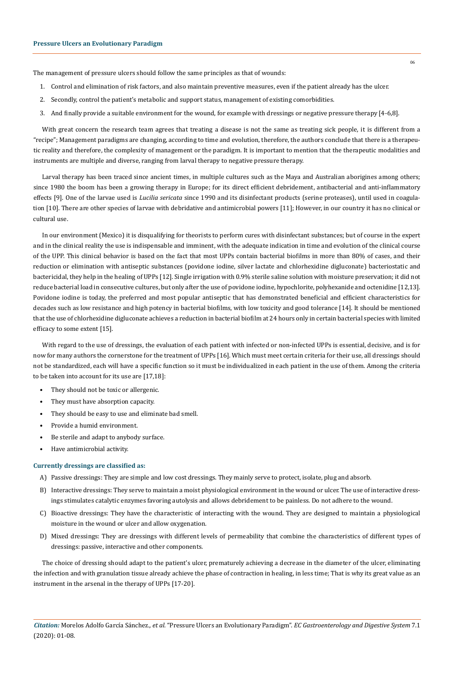The management of pressure ulcers should follow the same principles as that of wounds:

- 1. Control and elimination of risk factors, and also maintain preventive measures, even if the patient already has the ulcer.
- 2. Secondly, control the patient's metabolic and support status, management of existing comorbidities.
- 3. And finally provide a suitable environment for the wound, for example with dressings or negative pressure therapy [4-6,8].

With great concern the research team agrees that treating a disease is not the same as treating sick people, it is different from a "recipe"; Management paradigms are changing, according to time and evolution, therefore, the authors conclude that there is a therapeutic reality and therefore, the complexity of management or the paradigm. It is important to mention that the therapeutic modalities and instruments are multiple and diverse, ranging from larval therapy to negative pressure therapy.

Larval therapy has been traced since ancient times, in multiple cultures such as the Maya and Australian aborigines among others; since 1980 the boom has been a growing therapy in Europe; for its direct efficient debridement, antibacterial and anti-inflammatory effects [9]. One of the larvae used is *Lucilia sericata* since 1990 and its disinfectant products (serine proteases), until used in coagulation [10]. There are other species of larvae with debridative and antimicrobial powers [11]; However, in our country it has no clinical or cultural use.

In our environment (Mexico) it is disqualifying for theorists to perform cures with disinfectant substances; but of course in the expert and in the clinical reality the use is indispensable and imminent, with the adequate indication in time and evolution of the clinical course of the UPP. This clinical behavior is based on the fact that most UPPs contain bacterial biofilms in more than 80% of cases, and their reduction or elimination with antiseptic substances (povidone iodine, silver lactate and chlorhexidine digluconate) bacteriostatic and bactericidal, they help in the healing of UPPs [12]. Single irrigation with 0.9% sterile saline solution with moisture preservation; it did not reduce bacterial load in consecutive cultures, but only after the use of povidone iodine, hypochlorite, polyhexanide and octenidine [12,13]. Povidone iodine is today, the preferred and most popular antiseptic that has demonstrated beneficial and efficient characteristics for decades such as low resistance and high potency in bacterial biofilms, with low toxicity and good tolerance [14]. It should be mentioned that the use of chlorhexidine digluconate achieves a reduction in bacterial biofilm at 24 hours only in certain bacterial species with limited efficacy to some extent [15].

With regard to the use of dressings, the evaluation of each patient with infected or non-infected UPPs is essential, decisive, and is for now for many authors the cornerstone for the treatment of UPPs [16]. Which must meet certain criteria for their use, all dressings should not be standardized, each will have a specific function so it must be individualized in each patient in the use of them. Among the criteria to be taken into account for its use are [17,18]:

- They should not be toxic or allergenic.
- They must have absorption capacity.
- They should be easy to use and eliminate bad smell.
- Provide a humid environment.
- Be sterile and adapt to anybody surface.
- Have antimicrobial activity.

# **Currently dressings are classified as:**

- A) Passive dressings: They are simple and low cost dressings. They mainly serve to protect, isolate, plug and absorb.
- B) Interactive dressings: They serve to maintain a moist physiological environment in the wound or ulcer. The use of interactive dressings stimulates catalytic enzymes favoring autolysis and allows debridement to be painless. Do not adhere to the wound.
- C) Bioactive dressings: They have the characteristic of interacting with the wound. They are designed to maintain a physiological moisture in the wound or ulcer and allow oxygenation.
- D) Mixed dressings: They are dressings with different levels of permeability that combine the characteristics of different types of dressings: passive, interactive and other components.

The choice of dressing should adapt to the patient's ulcer, prematurely achieving a decrease in the diameter of the ulcer, eliminating the infection and with granulation tissue already achieve the phase of contraction in healing, in less time; That is why its great value as an instrument in the arsenal in the therapy of UPPs [17-20].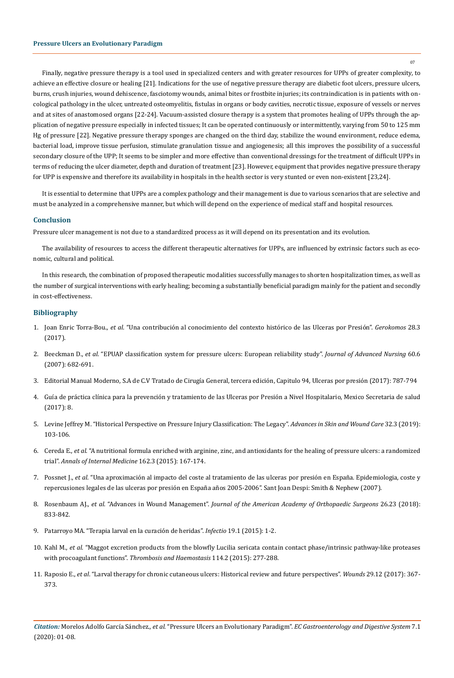Finally, negative pressure therapy is a tool used in specialized centers and with greater resources for UPPs of greater complexity, to achieve an effective closure or healing [21]. Indications for the use of negative pressure therapy are diabetic foot ulcers, pressure ulcers, burns, crush injuries, wound dehiscence, fasciotomy wounds, animal bites or frostbite injuries; its contraindication is in patients with oncological pathology in the ulcer, untreated osteomyelitis, fistulas in organs or body cavities, necrotic tissue, exposure of vessels or nerves and at sites of anastomosed organs [22-24]. Vacuum-assisted closure therapy is a system that promotes healing of UPPs through the application of negative pressure especially in infected tissues; It can be operated continuously or intermittently, varying from 50 to 125 mm Hg of pressure [22]. Negative pressure therapy sponges are changed on the third day, stabilize the wound environment, reduce edema, bacterial load, improve tissue perfusion, stimulate granulation tissue and angiogenesis; all this improves the possibility of a successful secondary closure of the UPP; It seems to be simpler and more effective than conventional dressings for the treatment of difficult UPPs in terms of reducing the ulcer diameter, depth and duration of treatment [23]. However, equipment that provides negative pressure therapy for UPP is expensive and therefore its availability in hospitals in the health sector is very stunted or even non-existent [23,24].

It is essential to determine that UPPs are a complex pathology and their management is due to various scenarios that are selective and must be analyzed in a comprehensive manner, but which will depend on the experience of medical staff and hospital resources.

### **Conclusion**

Pressure ulcer management is not due to a standardized process as it will depend on its presentation and its evolution.

The availability of resources to access the different therapeutic alternatives for UPPs, are influenced by extrinsic factors such as economic, cultural and political.

In this research, the combination of proposed therapeutic modalities successfully manages to shorten hospitalization times, as well as the number of surgical interventions with early healing; becoming a substantially beneficial paradigm mainly for the patient and secondly in cost-effectiveness.

# **Bibliography**

- 1. Joan Enric Torra-Bou., *et al*[. "Una contribución al conocimiento del contexto histórico de las Ulceras por Presión".](http://scielo.isciii.es/scielo.php?script=sci_arttext&pid=S1134-928X2017000300151) *Gerokomos* 28.3 [\(2017\).](http://scielo.isciii.es/scielo.php?script=sci_arttext&pid=S1134-928X2017000300151)
- 2. Beeckman D., *et al*[. "EPUAP classification system for pressure ulcers: European reliability study".](https://www.ncbi.nlm.nih.gov/pubmed/18039255) *Journal of Advanced Nursing* 60.6 [\(2007\): 682-691.](https://www.ncbi.nlm.nih.gov/pubmed/18039255)
- 3. Editorial Manual Moderno, S.A de C.V Tratado de Cirugía General, tercera edición, Capitulo 94, Ulceras por presión (2017): 787-794
- 4. Guía de práctica clínica para la prevención y tratamiento de las Ulceras por Presión a Nivel Hospitalario, Mexico Secretaria de salud (2017): 8.
- 5. [Levine Jeffrey M. "Historical Perspective on Pressure Injury Classification: The Legacy".](https://www.ncbi.nlm.nih.gov/pubmed/30720473) *Advances in Skin and Wound Care* 32.3 (2019): [103-106.](https://www.ncbi.nlm.nih.gov/pubmed/30720473)
- 6. Cereda E., *et al*[. "A nutritional formula enriched with arginine, zinc, and antioxidants for the healing of pressure ulcers: a randomized](https://www.ncbi.nlm.nih.gov/pubmed/25643304) trial". *[Annals of Internal Medicine](https://www.ncbi.nlm.nih.gov/pubmed/25643304)* 162.3 (2015): 167-174.
- 7. Possnet J., *et al*. "Una aproximación al impacto del coste al tratamiento de las ulceras por presión en España. Epidemiologia, coste y repercusiones legales de las ulceras por presión en España años 2005-2006". Sant Joan Despi: Smith & Nephew (2007).
- 8. Rosenbaum AJ., *et al*. "Advances in Wound Management". *[Journal of the American Academy of Orthopaedic Surgeons](https://www.ncbi.nlm.nih.gov/pubmed/30180089)* 26.23 (2018): [833-842.](https://www.ncbi.nlm.nih.gov/pubmed/30180089)
- 9. [Patarroyo MA. "Terapia larval en la curación de heridas".](http://www.enfermeriaaps.com/portal/wp-content/uploads/2016/04/Terapia-larval-en-la-curaci%C3%B3n-de-heridas.pdf) *Infectio* 19.1 (2015): 1-2.
- 10. Kahl M., *et al*[. "Maggot excretion products from the blowfly Lucilia sericata contain contact phase/intrinsic pathway-like proteases](https://www.ncbi.nlm.nih.gov/pubmed/25948398) with procoagulant functions". *[Thrombosis and Haemostasis](https://www.ncbi.nlm.nih.gov/pubmed/25948398)* 114.2 (2015): 277-288.
- 11. Raposio E., *et al*[. "Larval therapy for chronic cutaneous ulcers: Historical review and future perspectives".](https://www.ncbi.nlm.nih.gov/pubmed/29324424) *Wounds* 29.12 (2017): 367- [373.](https://www.ncbi.nlm.nih.gov/pubmed/29324424)